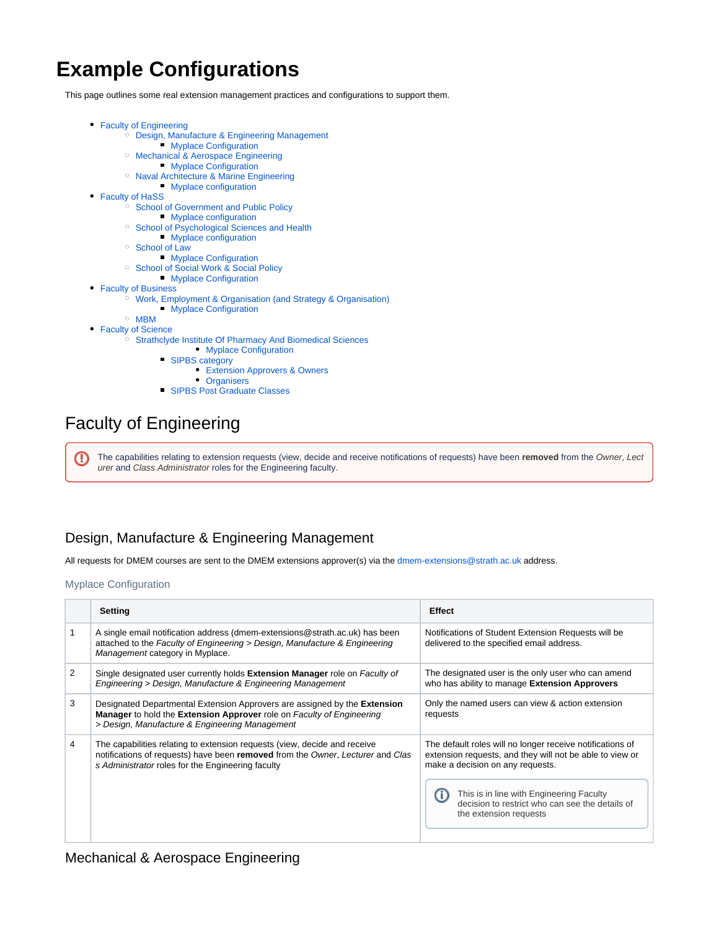# **Example Configurations**

This page outlines some real extension management practices and configurations to support them.

- [Faculty of Engineering](#page-0-0)
	- [Design, Manufacture & Engineering Management](#page-0-1)
		- **[Myplace Configuration](#page-0-2)**
	- o [Mechanical & Aerospace Engineering](#page-0-3)
		- **[Myplace Configuration](#page-1-0)**
	- [Naval Architecture & Marine Engineering](#page-1-1) **[Myplace configuration](#page-1-2)**
- [Faculty of HaSS](#page-1-3)
	- <sup>o</sup> [School of Government and Public Policy](#page-1-4)
		- **[Myplace configuration](#page-1-5)**
	- <sup>o</sup> [School of Psychological Sciences and Health](#page-2-0)
		- **[Myplace configuration](#page-2-1)**
	- <sup>o</sup> [School of Law](#page-2-2)
	- **[Myplace Configuration](#page-3-0)**
	- <sup>o</sup> [School of Social Work & Social Policy](#page-3-1)
		- **[Myplace Configuration](#page-3-2)**
- [Faculty of Business](#page-3-3)
	- [Work, Employment & Organisation \(and Strategy & Organisation\)](#page-4-0)
		- **[Myplace Configuration](#page-4-1)**
	- [MBM](#page-4-2)

#### • [Faculty of Science](#page-4-3)

- <sup>o</sup> [Strathclyde Institute Of Pharmacy And Biomedical Sciences](#page-4-4)
	- [Myplace Configuration](#page-4-5)
	- [SIPBS category](#page-5-0)
		- [Extension Approvers & Owners](#page-5-1)
	- [Organisers](#page-5-2) **[SIPBS Post Graduate Classes](#page-5-3)**

## <span id="page-0-0"></span>Faculty of Engineering

The capabilities relating to extension requests (view, decide and receive notifications of requests) have been **removed** from the Owner, Lect ⊕ urer and Class Administrator roles for the Engineering faculty.

## <span id="page-0-1"></span>Design, Manufacture & Engineering Management

All requests for DMEM courses are sent to the DMEM extensions approver(s) via the [dmem-extensions@strath.ac.uk](mailto:dmem-extensions@strath.ac.uk) address.

#### <span id="page-0-2"></span>Myplace Configuration

|   | <b>Setting</b>                                                                                                                                                                                                            | Effect                                                                                                                                                                                                                                                                             |
|---|---------------------------------------------------------------------------------------------------------------------------------------------------------------------------------------------------------------------------|------------------------------------------------------------------------------------------------------------------------------------------------------------------------------------------------------------------------------------------------------------------------------------|
|   | A single email notification address (dmem-extensions@strath.ac.uk) has been<br>attached to the Faculty of Engineering > Design, Manufacture & Engineering<br>Management category in Myplace.                              | Notifications of Student Extension Requests will be<br>delivered to the specified email address.                                                                                                                                                                                   |
| 2 | Single designated user currently holds Extension Manager role on Faculty of<br>Engineering > Design, Manufacture & Engineering Management                                                                                 | The designated user is the only user who can amend<br>who has ability to manage Extension Approvers                                                                                                                                                                                |
| 3 | Designated Departmental Extension Approvers are assigned by the Extension<br><b>Manager</b> to hold the <b>Extension Approver</b> role on <i>Faculty of Engineering</i><br>> Design, Manufacture & Engineering Management | Only the named users can view & action extension<br>requests                                                                                                                                                                                                                       |
| 4 | The capabilities relating to extension requests (view, decide and receive<br>notifications of requests) have been removed from the Owner, Lecturer and Clas<br>s Administrator roles for the Engineering faculty          | The default roles will no longer receive notifications of<br>extension requests, and they will not be able to view or<br>make a decision on any requests.<br>This is in line with Engineering Faculty<br>decision to restrict who can see the details of<br>the extension requests |

### <span id="page-0-3"></span>Mechanical & Aerospace Engineering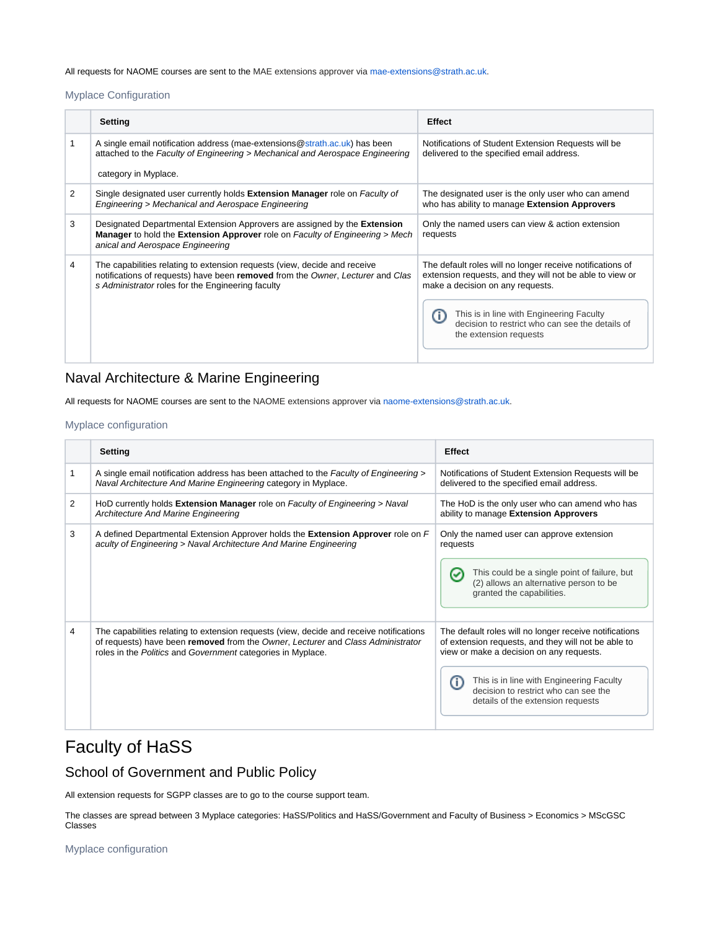All requests for NAOME courses are sent to the MAE extensions approver via [mae-extensions@strath.ac.uk.](mailto:mae-extensions@strath.ac.uk)

#### <span id="page-1-0"></span>Myplace Configuration

|   | <b>Setting</b>                                                                                                                                                                                                   | <b>Effect</b>                                                                                                                                                                                                                                                                      |
|---|------------------------------------------------------------------------------------------------------------------------------------------------------------------------------------------------------------------|------------------------------------------------------------------------------------------------------------------------------------------------------------------------------------------------------------------------------------------------------------------------------------|
|   | A single email notification address (mae-extensions@strath.ac.uk) has been<br>attached to the Faculty of Engineering > Mechanical and Aerospace Engineering<br>category in Myplace.                              | Notifications of Student Extension Requests will be<br>delivered to the specified email address.                                                                                                                                                                                   |
| 2 | Single designated user currently holds Extension Manager role on Faculty of<br>Engineering > Mechanical and Aerospace Engineering                                                                                | The designated user is the only user who can amend<br>who has ability to manage Extension Approvers                                                                                                                                                                                |
| 3 | Designated Departmental Extension Approvers are assigned by the Extension<br>Manager to hold the Extension Approver role on Faculty of Engineering > Mech<br>anical and Aerospace Engineering                    | Only the named users can view & action extension<br>requests                                                                                                                                                                                                                       |
| 4 | The capabilities relating to extension requests (view, decide and receive<br>notifications of requests) have been removed from the Owner, Lecturer and Clas<br>s Administrator roles for the Engineering faculty | The default roles will no longer receive notifications of<br>extension requests, and they will not be able to view or<br>make a decision on any requests.<br>This is in line with Engineering Faculty<br>decision to restrict who can see the details of<br>the extension requests |

## <span id="page-1-1"></span>Naval Architecture & Marine Engineering

All requests for NAOME courses are sent to the NAOME extensions approver via [naome-extensions@strath.ac.uk](mailto:naome-extensions@strath.ac.uk).

#### <span id="page-1-2"></span>Myplace configuration

|   | <b>Setting</b>                                                                                                                                                                                                                            | <b>Effect</b>                                                                                                                                                                                                                                                                      |
|---|-------------------------------------------------------------------------------------------------------------------------------------------------------------------------------------------------------------------------------------------|------------------------------------------------------------------------------------------------------------------------------------------------------------------------------------------------------------------------------------------------------------------------------------|
|   | A single email notification address has been attached to the Faculty of Engineering ><br>Naval Architecture And Marine Engineering category in Myplace.                                                                                   | Notifications of Student Extension Requests will be<br>delivered to the specified email address.                                                                                                                                                                                   |
| 2 | HoD currently holds Extension Manager role on Faculty of Engineering > Naval<br>Architecture And Marine Engineering                                                                                                                       | The HoD is the only user who can amend who has<br>ability to manage Extension Approvers                                                                                                                                                                                            |
| 3 | A defined Departmental Extension Approver holds the Extension Approver role on F<br>aculty of Engineering > Naval Architecture And Marine Engineering                                                                                     | Only the named user can approve extension<br>requests<br>This could be a single point of failure, but<br>(2) allows an alternative person to be<br>granted the capabilities.                                                                                                       |
| 4 | The capabilities relating to extension requests (view, decide and receive notifications<br>of requests) have been removed from the Owner, Lecturer and Class Administrator<br>roles in the Politics and Government categories in Myplace. | The default roles will no longer receive notifications<br>of extension requests, and they will not be able to<br>view or make a decision on any requests.<br>This is in line with Engineering Faculty<br>decision to restrict who can see the<br>details of the extension requests |

## <span id="page-1-3"></span>Faculty of HaSS

## <span id="page-1-4"></span>School of Government and Public Policy

All extension requests for SGPP classes are to go to the course support team.

The classes are spread between 3 Myplace categories: HaSS/Politics and HaSS/Government and Faculty of Business > Economics > MScGSC Classes

<span id="page-1-5"></span>Myplace configuration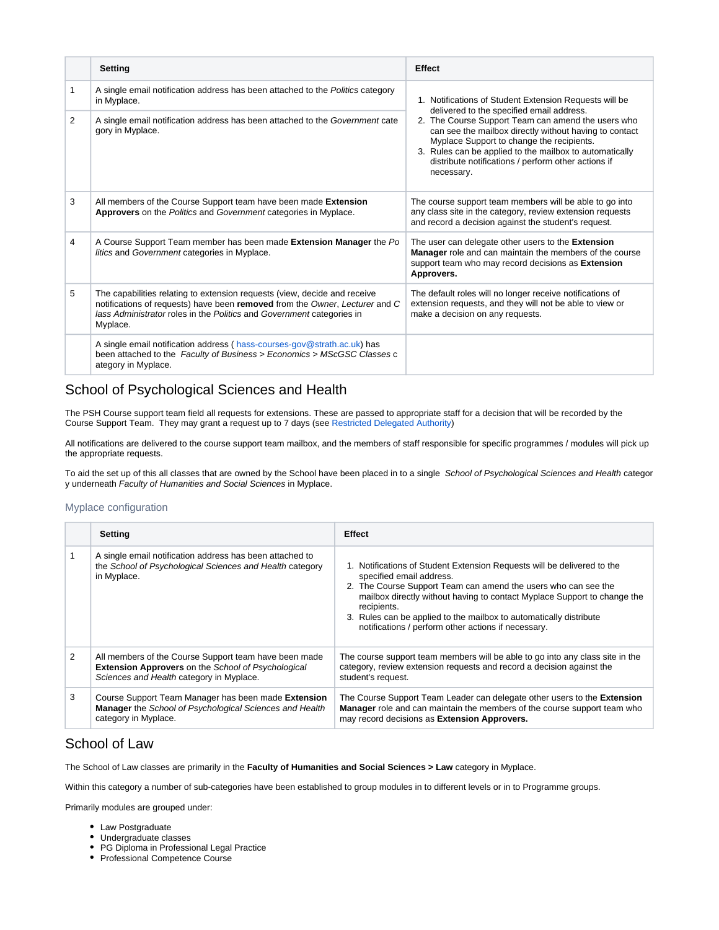|   | Setting                                                                                                                                                                                                                                       | <b>Effect</b>                                                                                                                                                                                                                                                                             |
|---|-----------------------------------------------------------------------------------------------------------------------------------------------------------------------------------------------------------------------------------------------|-------------------------------------------------------------------------------------------------------------------------------------------------------------------------------------------------------------------------------------------------------------------------------------------|
|   | A single email notification address has been attached to the Politics category<br>in Myplace.                                                                                                                                                 | 1. Notifications of Student Extension Requests will be<br>delivered to the specified email address.                                                                                                                                                                                       |
| 2 | A single email notification address has been attached to the Government cate<br>gory in Myplace.                                                                                                                                              | 2. The Course Support Team can amend the users who<br>can see the mailbox directly without having to contact<br>Myplace Support to change the recipients.<br>3. Rules can be applied to the mailbox to automatically<br>distribute notifications / perform other actions if<br>necessary. |
| 3 | All members of the Course Support team have been made Extension<br>Approvers on the Politics and Government categories in Myplace.                                                                                                            | The course support team members will be able to go into<br>any class site in the category, review extension requests<br>and record a decision against the student's request.                                                                                                              |
| 4 | A Course Support Team member has been made Extension Manager the Po<br>litics and Government categories in Myplace.                                                                                                                           | The user can delegate other users to the Extension<br>Manager role and can maintain the members of the course<br>support team who may record decisions as Extension<br>Approvers.                                                                                                         |
| 5 | The capabilities relating to extension requests (view, decide and receive<br>notifications of requests) have been removed from the Owner, Lecturer and C<br>lass Administrator roles in the Politics and Government categories in<br>Myplace. | The default roles will no longer receive notifications of<br>extension requests, and they will not be able to view or<br>make a decision on any requests.                                                                                                                                 |
|   | A single email notification address (hass-courses-gov@strath.ac.uk) has<br>been attached to the Faculty of Business > Economics > MScGSC Classes c<br>ategory in Myplace.                                                                     |                                                                                                                                                                                                                                                                                           |

### <span id="page-2-0"></span>School of Psychological Sciences and Health

The PSH Course support team field all requests for extensions. These are passed to appropriate staff for a decision that will be recorded by the Course Support Team. They may grant a request up to 7 days (see [Restricted Delegated Authority](https://wiki.lte.strath.ac.uk/pages/viewpage.action?pageId=74186809#ExtensionBusinessPractices&Rules-RestrictedDelegatedAuthority))

All notifications are delivered to the course support team mailbox, and the members of staff responsible for specific programmes / modules will pick up the appropriate requests.

To aid the set up of this all classes that are owned by the School have been placed in to a single School of Psychological Sciences and Health categor y underneath Faculty of Humanities and Social Sciences in Myplace.

#### <span id="page-2-1"></span>Myplace configuration

|   | Setting                                                                                                                                                        | <b>Effect</b>                                                                                                                                                                                                                                                                                                                                                                                 |
|---|----------------------------------------------------------------------------------------------------------------------------------------------------------------|-----------------------------------------------------------------------------------------------------------------------------------------------------------------------------------------------------------------------------------------------------------------------------------------------------------------------------------------------------------------------------------------------|
|   | A single email notification address has been attached to<br>the School of Psychological Sciences and Health category<br>in Myplace.                            | 1. Notifications of Student Extension Requests will be delivered to the<br>specified email address.<br>2. The Course Support Team can amend the users who can see the<br>mailbox directly without having to contact Myplace Support to change the<br>recipients.<br>3. Rules can be applied to the mailbox to automatically distribute<br>notifications / perform other actions if necessary. |
| 2 | All members of the Course Support team have been made<br><b>Extension Approvers</b> on the School of Psychological<br>Sciences and Health category in Myplace. | The course support team members will be able to go into any class site in the<br>category, review extension requests and record a decision against the<br>student's request.                                                                                                                                                                                                                  |
| 3 | Course Support Team Manager has been made Extension<br><b>Manager</b> the School of Psychological Sciences and Health<br>category in Myplace.                  | The Course Support Team Leader can delegate other users to the Extension<br>Manager role and can maintain the members of the course support team who<br>may record decisions as Extension Approvers.                                                                                                                                                                                          |

### <span id="page-2-2"></span>School of Law

The School of Law classes are primarily in the **Faculty of Humanities and Social Sciences > Law** category in Myplace.

Within this category a number of sub-categories have been established to group modules in to different levels or in to Programme groups.

Primarily modules are grouped under:

- Law Postgraduate
- Undergraduate classes
- PG Diploma in Professional Legal Practice
- Professional Competence Course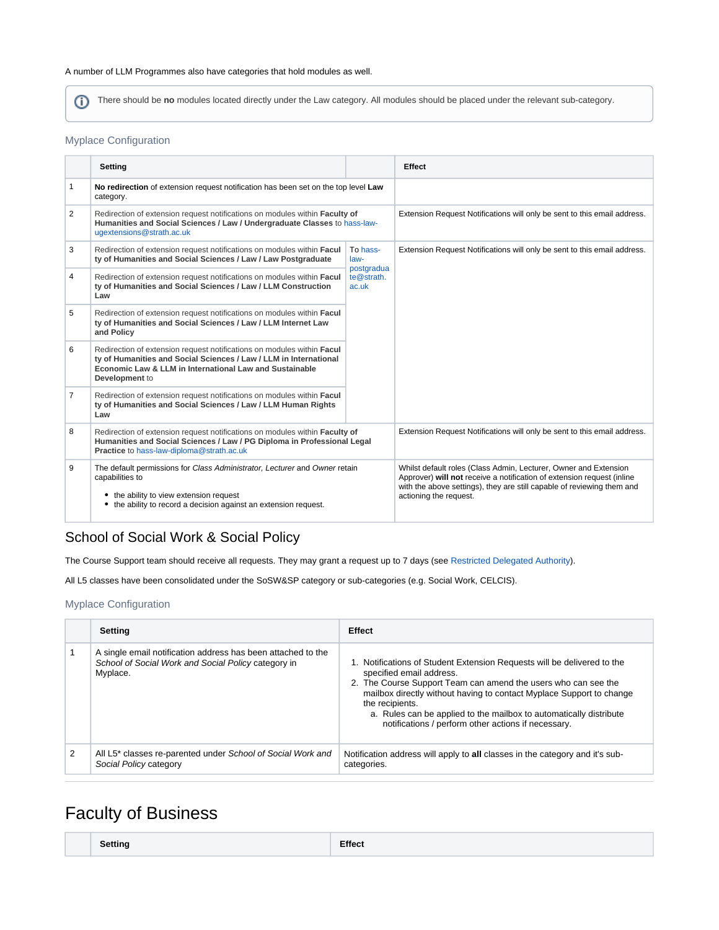#### A number of LLM Programmes also have categories that hold modules as well.

There should be **no** modules located directly under the Law category. All modules should be placed under the relevant sub-category.

#### <span id="page-3-0"></span>Myplace Configuration

|                | Setting                                                                                                                                                                                                                  |                                | Effect                                                                                                                                                                                                                                         |
|----------------|--------------------------------------------------------------------------------------------------------------------------------------------------------------------------------------------------------------------------|--------------------------------|------------------------------------------------------------------------------------------------------------------------------------------------------------------------------------------------------------------------------------------------|
| 1              | No redirection of extension request notification has been set on the top level Law<br>category.                                                                                                                          |                                |                                                                                                                                                                                                                                                |
| 2              | Redirection of extension request notifications on modules within Faculty of<br>Humanities and Social Sciences / Law / Undergraduate Classes to hass-law-<br>ugextensions@strath.ac.uk                                    |                                | Extension Request Notifications will only be sent to this email address.                                                                                                                                                                       |
| 3              | Redirection of extension request notifications on modules within Facul<br>ty of Humanities and Social Sciences / Law / Law Postgraduate                                                                                  | To hass-<br>law-<br>postgradua | Extension Request Notifications will only be sent to this email address.                                                                                                                                                                       |
| 4              | Redirection of extension request notifications on modules within Facul<br>ty of Humanities and Social Sciences / Law / LLM Construction<br>Law                                                                           | te@strath.<br>ac.uk            |                                                                                                                                                                                                                                                |
| 5              | Redirection of extension request notifications on modules within Facul<br>ty of Humanities and Social Sciences / Law / LLM Internet Law<br>and Policy                                                                    |                                |                                                                                                                                                                                                                                                |
| 6              | Redirection of extension request notifications on modules within Facul<br>ty of Humanities and Social Sciences / Law / LLM in International<br>Economic Law & LLM in International Law and Sustainable<br>Development to |                                |                                                                                                                                                                                                                                                |
| $\overline{7}$ | Redirection of extension request notifications on modules within Facul<br>ty of Humanities and Social Sciences / Law / LLM Human Rights<br>Law                                                                           |                                |                                                                                                                                                                                                                                                |
| 8              | Redirection of extension request notifications on modules within Faculty of<br>Humanities and Social Sciences / Law / PG Diploma in Professional Legal<br>Practice to hass-law-diploma@strath.ac.uk                      |                                | Extension Request Notifications will only be sent to this email address.                                                                                                                                                                       |
| 9              | The default permissions for Class Administrator, Lecturer and Owner retain<br>capabilities to<br>the ability to view extension request<br>the ability to record a decision against an extension request.<br>٠            |                                | Whilst default roles (Class Admin, Lecturer, Owner and Extension<br>Approver) will not receive a notification of extension request (inline<br>with the above settings), they are still capable of reviewing them and<br>actioning the request. |

## <span id="page-3-1"></span>School of Social Work & Social Policy

The Course Support team should receive all requests. They may grant a request up to 7 days (see [Restricted Delegated Authority\)](https://wiki.lte.strath.ac.uk/pages/viewpage.action?pageId=74186809#ExtensionBusinessPractices&Rules-RestrictedDelegatedAuthority).

All L5 classes have been consolidated under the SoSW&SP category or sub-categories (e.g. Social Work, CELCIS).

#### <span id="page-3-2"></span>Myplace Configuration

|   | Setting                                                                                                                         | <b>Effect</b>                                                                                                                                                                                                                                                                                                                                                                                 |
|---|---------------------------------------------------------------------------------------------------------------------------------|-----------------------------------------------------------------------------------------------------------------------------------------------------------------------------------------------------------------------------------------------------------------------------------------------------------------------------------------------------------------------------------------------|
|   | A single email notification address has been attached to the<br>School of Social Work and Social Policy category in<br>Myplace. | 1. Notifications of Student Extension Requests will be delivered to the<br>specified email address.<br>2. The Course Support Team can amend the users who can see the<br>mailbox directly without having to contact Myplace Support to change<br>the recipients.<br>a. Rules can be applied to the mailbox to automatically distribute<br>notifications / perform other actions if necessary. |
| 2 | All L5* classes re-parented under School of Social Work and<br>Social Policy category                                           | Notification address will apply to all classes in the category and it's sub-<br>categories.                                                                                                                                                                                                                                                                                                   |

## <span id="page-3-3"></span>Faculty of Business

|--|--|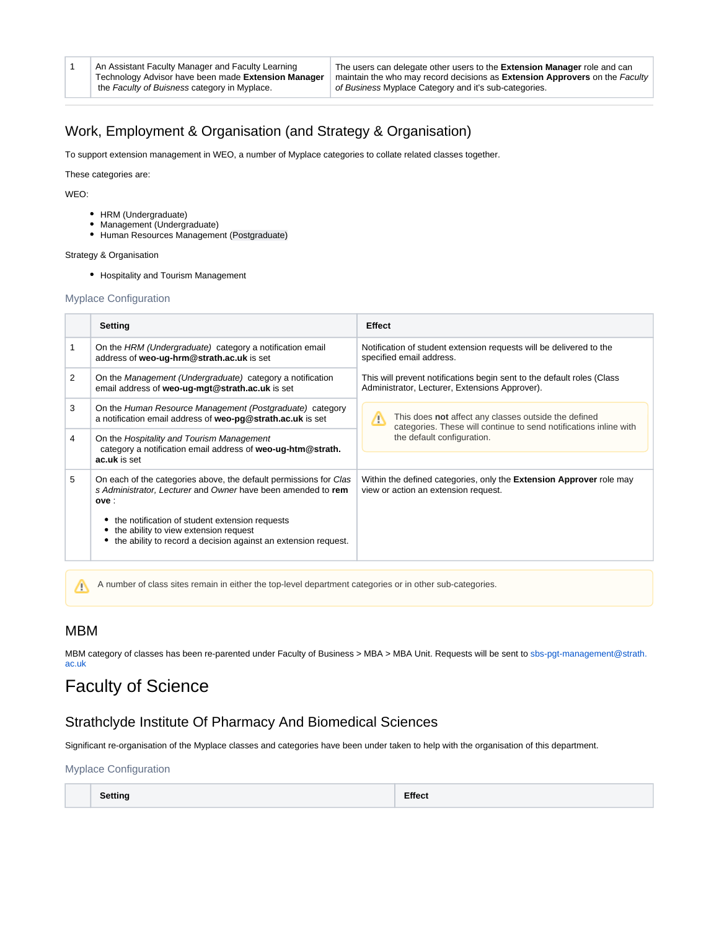1 An Assistant Faculty Manager and Faculty Learning Technology Advisor have been made **Extension Manager** the Faculty of Buisness category in Myplace.

The users can delegate other users to the **Extension Manager** role and can maintain the who may record decisions as **Extension Approvers** on the Faculty of Business Myplace Category and it's sub-categories.

## <span id="page-4-0"></span>Work, Employment & Organisation (and Strategy & Organisation)

To support extension management in WEO, a number of Myplace categories to collate related classes together.

These categories are:

WEO:

- HRM (Undergraduate)
- Management (Undergraduate)
- Human Resources Management (Postgraduate)

Strategy & Organisation

• Hospitality and Tourism Management

#### <span id="page-4-1"></span>Myplace Configuration

|                | <b>Setting</b>                                                                                                                                                      | <b>Effect</b>                                                                                                                  |
|----------------|---------------------------------------------------------------------------------------------------------------------------------------------------------------------|--------------------------------------------------------------------------------------------------------------------------------|
|                | On the HRM (Undergraduate) category a notification email<br>address of weo-ug-hrm@strath.ac.uk is set                                                               | Notification of student extension requests will be delivered to the<br>specified email address.                                |
| $\overline{2}$ | On the Management (Undergraduate) category a notification<br>email address of weo-ug-mgt@strath.ac.uk is set                                                        | This will prevent notifications begin sent to the default roles (Class<br>Administrator, Lecturer, Extensions Approver).       |
| 3              | On the Human Resource Management (Postgraduate) category<br>a notification email address of weo-pg@strath.ac.uk is set                                              | This does not affect any classes outside the defined<br>Λ<br>categories. These will continue to send notifications inline with |
| 4              | On the Hospitality and Tourism Management<br>category a notification email address of weo-ug-htm@strath.<br>ac.uk is set                                            | the default configuration.                                                                                                     |
| 5              | On each of the categories above, the default permissions for Clas<br>s Administrator, Lecturer and Owner have been amended to rem<br>ove :                          | Within the defined categories, only the <b>Extension Approver</b> role may<br>view or action an extension request.             |
|                | the notification of student extension requests<br>٠<br>the ability to view extension request<br>٠<br>the ability to record a decision against an extension request. |                                                                                                                                |
|                | A number of class sites remain in either the top-level department categories or in other sub-categories.                                                            |                                                                                                                                |

### <span id="page-4-2"></span>MBM

MBM category of classes has been re-parented under Faculty of Business > MBA > MBA Unit. Requests will be sent to [sbs-pgt-management@strath.](mailto:sbs-pgt-management@strath.ac.uk) [ac.uk](mailto:sbs-pgt-management@strath.ac.uk)

## <span id="page-4-3"></span>Faculty of Science

#### <span id="page-4-4"></span>Strathclyde Institute Of Pharmacy And Biomedical Sciences

Significant re-organisation of the Myplace classes and categories have been under taken to help with the organisation of this department.

<span id="page-4-5"></span>Myplace Configuration

| <b>Setting</b>           | <b>Effect</b> |
|--------------------------|---------------|
| $\overline{\phantom{a}}$ |               |